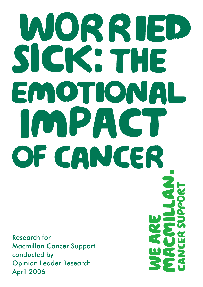# MORRIED SIGK'S THE EMOTIONAL IONPACT OF CANCER

Research for Macmillan Cancer Support conducted by Opinion Leader Research April 2006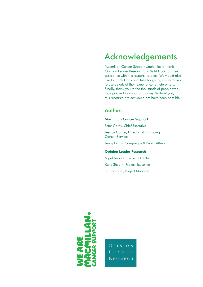### Acknowledgements

Macmillan Cancer Support would like to thank Opinion Leader Research and Wild Duck for their assistance with this research project. We would also like to thank Chris and Julie for giving us permission to use details of their experience to help others. Finally, thank you to the thousands of people who took part in this important survey. Without you, this research project would not have been possible.

### Authors

#### Macmillan Cancer Support

Peter Cardy, Chief Executive Jessica Corner, Director of Improving Cancer Services Jenny Evans, Campaigns & Public Affairs

#### Opinion Leader Research

Nigel Jackson, Project Director Katie Shearn, Project Executive Liz Sparham, Project Manager



**OPINION RESEARCH**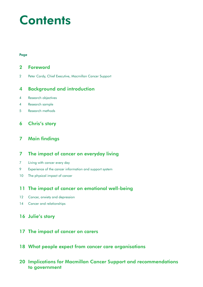# **Contents**

#### Page

### Foreword

Peter Cardy, Chief Executive, Macmillan Cancer Support

### Background and introduction

- Research objectives
- Research sample
- Research methods

### Chris's story

### Main findings

### The impact of cancer on everyday living

- Living with cancer every day
- Experience of the cancer information and support system
- 10 The physical impact of cancer

### The impact of cancer on emotional well-being

- 12 Cancer, anxiety and depression
- 14 Cancer and relationships

#### 16 Julie's story

### The impact of cancer on carers

What people expect from cancer care organisations

### Implications for Macmillan Cancer Support and recommendations to government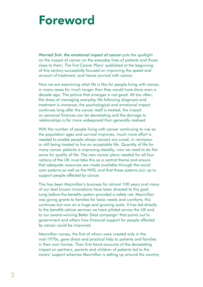# Foreword

*Worried Sick: the emotional impact of cancer* puts the spotlight on the impact of cancer on the everyday lives of patients and those close to them. The first *Cancer Plans*1 published at the beginning of this century successfully focused on improving the speed and amount of treatment, and hence survival with cancer.

Now we are examining what life is like for people living with cancer, in many cases for much longer than they would have done even a decade ago. The picture that emerges is not good. All too often, the stress of managing everyday life following diagnosis and treatment is immense; the psychological and emotional impact continues long after the cancer itself is treated, the impact on personal finances can be devastating and the damage to relationships is far more widespread than generally realised.

With the number of people living with cancer continuing to rise as the population ages and survival improves, much more effort is needed to enable people whose cancers are cured, in remission or still being treated to live an acceptable life. Quantity of life for many cancer patients is improving steadily; now we need to do the same for quality of life. The new cancer plans needed for all four nations of the UK must take this as a central theme and ensure that adequate resources are made available through the social care systems as well as the NHS, and that these systems join up to support people affected by cancer.

This has been Macmillan's business for almost 100 years and many of our best known innovations have been directed to this goal. Long before the benefits system provided a safety net, Macmillan was giving grants to families for basic needs and comforts; this continues but now on a huge and growing scale. It has led directly to the benefits advice services we have piloted across the UK and to our award-winning Better Deal campaign<sup>2</sup> that points out to government and others how financial support for people affected by cancer could be improved.

Macmillan nurses, the first of whom were created only in the mid-1970s, gave direct and practical help to patients and families in their own homes. Their first-hand accounts of the devastating impact on partners, parents and children of patients led to the carers' support schemes Macmillan is setting up around the country.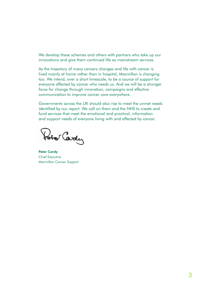We develop these schemes and others with partners who take up our innovations and give them continued life as mainstream services.

As the trajectory of many cancers changes and life with cancer is lived mainly at home rather than in hospital, Macmillan is changing too. We intend, over a short timescale, to be a source of support for everyone affected by cancer who needs us. And we will be a stronger force for change through innovation, campaigns and effective communication to improve cancer care everywhere.

Governments across the UK should also rise to meet the unmet needs identified by our report. We call on them and the NHS to create and fund services that meet the emotional and practical, information and support needs of everyone living with and affected by cancer.

Hotel Cardy

Peter Cardy Chief Executive Macmillan Cancer Support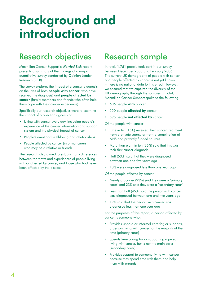# Background and introduction

### Research objectives

Macmillan Cancer Support's *Worried Sick* report presents a summary of the findings of a major quantitative survey conducted by Opinion Leader Research (OLR).

The survey explores the impact of a cancer diagnosis on the lives of both **people with cancer** (who have received the diagnosis) and people affected by cancer (family members and friends who often help them cope with their cancer experience).

Specifically our research objectives were to examine the impact of a cancer diagnosis on:

- Living with cancer every day, including people's experience of the cancer information and support system and the physical impact of cancer
- People's emotional well-being and relationships
- People affected by cancer (informal carers, who may be a relative or friend)

The research also aimed to establish any differences between the views and experiences of people living with or affected by cancer, and those who had never been affected by the disease.

### Research sample

In total, 1,751 people took part in our survey between December 2005 and February 2006. The current UK demography of people with cancer and people affected by cancer is not yet known – there is no national data to this effect. However, we ensured that we captured the diversity of the UK demography through the samples. In total, Macmillan Cancer Support spoke to the following:

- 606 people with cancer
- 550 people **affected by** cancer
- 595 people not affected by cancer

Of the people with cancer:

- One in ten (15%) received their cancer treatment from a private source or from a combination of NHS and privately funded sources
- More than eight in ten (86%) said that this was their first cancer diagnosis
- Half (53%) said that they were diagnosed between one and five years ago
- 18% were diagnosed less than one year ago

Of the people affected by cancer:

- Nearly a quarter (23%) said they were a 'primary carer' and 23% said they were a 'secondary carer'
- Less than half (45%) said the person with cancer was diagnosed between one and five years ago
- 19% said that the person with cancer was diagnosed less than one year ago

For the purposes of this report, a person affected by cancer is someone who:

- Provides unpaid or informal care for, or supports, a person living with cancer for the majority of the time (primary carer)
- Spends time caring for or supporting a person living with cancer, but is not the main carer (secondary carer)
- Provides support to someone living with cancer because they spend time with them and help them with errands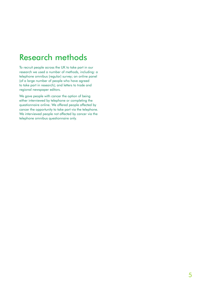### Research methods

To recruit people across the UK to take part in our research we used a number of methods, including: a telephone omnibus (regular) survey; an online panel (of a large number of people who have agreed to take part in research); and letters to trade and regional newspaper editors.

We gave people with cancer the option of being either interviewed by telephone or completing the questionnaire online. We offered people affected by cancer the opportunity to take part via the telephone. We interviewed people not affected by cancer via the telephone omnibus questionnaire only.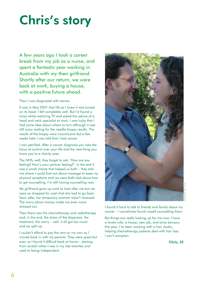# Chris's story

A few years ago I took a career break from my job as a nurse, and spent a fantastic year working in Australia with my then girlfriend. Shortly after our return, we were back at work, buying a house, with a positive future ahead.

Then I was diagnosed with cancer.

It was in May 2001 that life as I knew it was turned on its head. I felt completely well. But I'd found a lump whilst watching TV and asked the advice of a head and neck specialist at work. I was lucky that I had some idea about where to turn although it was still scary waiting for the needle biopsy results. The results of the biopsy were inconclusive but a few weeks later I was told that I had cancer.

I was petrified. After a cancer diagnosis you lose the focus of control over your life and the next thing you know you're a charity case.

The NHS, well, they forget to ask, 'How are you feeling? How's your partner feeling?'. In the end it was a small charity that helped us both – they told me where I could find out about massage to ease my physical symptoms and we were both told about how to get counselling. I'm still having counselling now.

My girlfriend gave up work to look after me but we were so strapped for cash that she had to go back. Soon after, her temporary contract wasn't renewed. The worry about money made me even more stressed out.

Then there was the chemotherapy and radiotherapy and, in the end, the stress of the diagnosis, the treatment, the worry – well, it all got too much and we split up.

I couldn't afford to pay the rent on my own so I moved back in with my parents. They were great but even so I found it difficult back at home – starting from scratch when I was in my late twenties and used to being independent.



photograph: Peter Lomas

I found it hard to talk to friends and family about my cancer – I sometimes found myself counselling them.

But things are really looking up for me now. I have a lovely wife, a house, new job, and since January this year, I've been working with a hair studio, helping chemotherapy patients deal with hair loss. I can't complain.

Chris, 32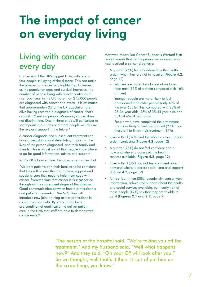# The impact of cancer on everyday living

### Living with cancer every day

Cancer is still the UK's biggest killer, with one in four people still dying of the disease. This can make the prospect of cancer very frightening. However, as the population ages and survival improves, the number of people living with cancer continues to rise. Each year in the UK more than 275,000 people are diagnosed with cancer and overall it is estimated that approximately 2% of the UK population are alive having received a diagnosis of cancer: that's around 1.2 million people. Moreover, cancer does not discriminate. One in three of us will get cancer at some point in our lives and more people will require the relevant support in the future.<sup>3</sup>

A cancer diagnosis and subsequent treatment can have a devastating and debilitating impact on the lives of the person diagnosed, and their family and friends. This is why it is vital that people know where to go for good information, advice and support.

In *The NHS Cancer Plan,* the government states that:

'We want patients and their families to be confident that they will receive the information, support and specialist care they need to help them cope with cancer, from the time that cancer is first suspected throughout the subsequent stages of the disease. Good communication between health professionals and patients is essential. *The NHS Plan* will introduce new joint training across professions in communication skills. By 2002, it will be a pre-condition of qualification to deliver patient care in the NHS that staff are able to demonstrate competence.'4

However, Macmillan Cancer Support's *Worried Sick* report reveals that, of the people we surveyed who had received a cancer diagnosis:

- A quarter (26%) feel abandoned by the health system when they are not in hospital (Figure 4.2, page 12)
	- Women are more likely to feel abandoned than men (31% of women compared with 16% of men)
	- Younger people are more likely to feel abandoned than older people (only 16% of the over 65s felt this, compared with 35% of 25-34 year olds, 28% of 35-44 year olds and 33% of 45-54 year olds)
	- People who have completed their treatment are more likely to feel abandoned (27%) than those still to finish their treatment (14%)
- Over a third (37%) find the whole cancer support system confusing (Figure 4.2, page 12)
- A quarter (25%) do not feel confident about how and where to access all the health services available (Figure 4.2, page 12)
- Over a third (35%) do not feel confident about how and where to access social care and support (Figure 4.2, page 12)
- Almost four in ten (38%) people with cancer want information, advice and support about the health and social services available, but nearly half of those people (47%) say that they aren't able to get it (Figures 2.1 and 2.2, page 9)

'The person at the hospital said, "We're taking you off the treatment." And my husband said, "Well what happens now?" And they said, "Oh your GP will look after you." So we thought, well that's it then. It sort of put him on the scrap heap, you know.'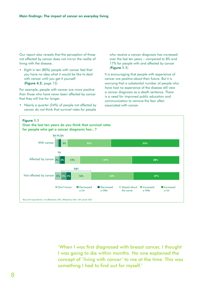Our report also reveals that the perception of those not affected by cancer does not mirror the reality of living with the disease.

• Eight in ten (80%) people with cancer feel that you have no idea what it would be like to deal with cancer until you get it yourself (Figure 4.2, page 12)

For example, people with cancer are more positive than those who have never been affected by cancer that they will live for longer:

• Nearly a quarter (24%) of people not affected by cancer do not think that survival rates for people

who receive a cancer diagnosis has increased over the last ten years – compared to 8% and 17% for people with and affected by cancer (Figure 1.1)

It is encouraging that people with experience of cancer are positive about their future. But it is worrying that a substantial number of people who have had no experience of the disease still view a cancer diagnosis as a death sentence. There is a need for improved public education and communication to remove the fear often associated with cancer.



'When I was first diagnosed with breast cancer, I thought I was going to die within months. No one explained the concept of 'living with cancer' to me at the time. This was something I had to find out for myself.'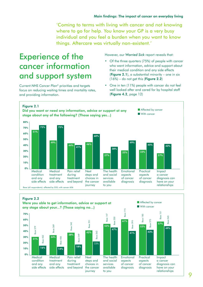'Coming to terms with living with cancer and not knowing where to go for help. You know your GP is a very busy individual and you feel a burden when you want to know things. Aftercare was virtually non-existent.'

### Experience of the cancer information and support system

Current *NHS Cancer Plan*4 priorities and targets focus on reducing waiting times and mortality rates, and providing information.

However, our *Worried Sick* report reveals that:

- Of the three quarters (75%) of people with cancer who want information, advice and support about their medical condition and any side effects (Figure  $2.1$ ), a substantial minority – one in six  $(16\%)$  – do not get this (Figure 2.2)
- One in ten (11%) people with cancer do not feel well looked after and cared for by hospital staff (Figure 4.2, page 12)





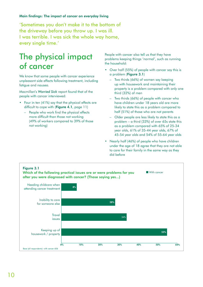'Sometimes you don't make it to the bottom of the driveway before you throw up. I was ill. I was terrible. I was sick the whole way home, every single time.'

### The physical impact of cancer

We know that some people with cancer experience unpleasant side effects following treatment, including fatigue and nausea.

Macmillan's *Worried Sick* report found that of the people with cancer interviewed:

- Four in ten (41%) say that the physical effects are difficult to cope with (Figure 4.1, page 11)
	- People who work find the physical effects more difficult than those not working (49% of workers compared to 39% of those not working)

People with cancer also tell us that they have problems keeping things 'normal', such as running the household:

- Over half (55%) of people with cancer say this is a problem (Figure 3.1)
	- Two thirds (66%) of women say keeping up with housework and maintaining their property is a problem compared with only one third (32%) of men
	- Two thirds (66%) of people with cancer who have children under 18 years old are more likely to state this as a problem compared to half (51%) of those who are not parents
	- Older people are less likely to state this as a problem – a third (33%) of over 65s state this as a problem compared with 65% of 25-34 year olds, 61% of 35-44 year olds, 67% of 45-54 year olds and 54% of 55-64 year olds
- Nearly half (46%) of people who have children under the age of 18 agree that they are not able to care for their family in the same way as they did before

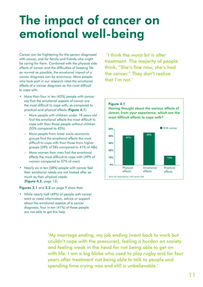# The impact of cancer on emotional well-being

Cancer can be frightening for the person diagnosed with cancer, and for family and friends who might be caring for them. Combined with the physical side effects of cancer and the difficulties of keeping life as normal as possible, the emotional impact of a cancer diagnosis can be enormous. More people who took part in our research cited the emotional effects of a cancer diagnosis as the most difficult to cope with.

- More than four in ten (45%) people with cancer say that the emotional aspects of cancer are the most difficult to cope with, as compared to practical and physical effects (Figure 4.1)
	- More people with children under 18 years old find the emotional effects the most difficult to cope with than those people without children (55% compared to 42%)
	- More people from lower socio-economic groups find the emotional effects the most difficult to cope with than those from higher groups (59% of DEs compared to 41% of ABs)
	- More women than men find the emotional effects the most difficult to cope with (49% of women compared to 37% of men)
- Nearly six in ten (58%) people with cancer feel their emotional needs are not looked after as much as their physical needs (Figure 4.2, page 12)

#### Figures 2.1 and 2.2 on page 9 show that:

• While nearly half (49%) of people with cancer want or need information, advice or support about the emotional aspects of a cancer diagnosis, four in ten (41%) of these people are not able to get this help

 'I think the worst bit is after treatment. The majority of people think, "She's fine now, she's had the cancer." They don't realise that I'm not.'



'My marriage ending, my job ending (went back to work but couldn't cope with the pressures), feeling a burden on society and feeling weak in the head for not being able to get on with life. I am a big bloke who used to play rugby and for four years after treatment not being able to talk to people and spending time crying was and still is unbelievable.'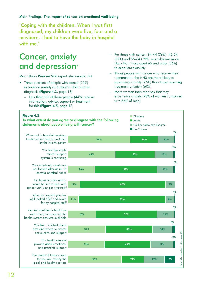#### Main findings: The impact of cancer on emotional well-being

'Coping with the children. When I was first diagnosed, my children were five, four and a newborn. I had to have the baby in hospital with me'

### Cancer, anxiety and depression<sup>5</sup>

Macmillan's *Worried Sick* report also reveals that:

- Three quarters of people with cancer (75%) experience anxiety as a result of their cancer diagnosis (Figure 4.3, page 13)
	- Less than half of these people (44%) receive information, advice, support or treatment for this (Figure 4.5, page 13)
- For those with cancer, 34-44 (76%), 45-54 (87%) and 55-64 (79%) year olds are more likely than those aged 65 and older (56%) to experience anxiety
- Those people with cancer who receive their treatment on the NHS are more likely to experience anxiety (76%) than those receiving treatment privately (60%)
- More women than men say that they experience anxiety (79% of women compared with 66% of men)

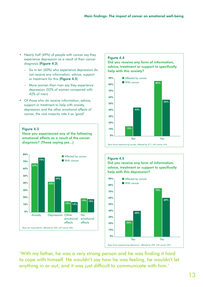- Nearly half (49%) of people with cancer say they experience depression as a result of their cancer diagnosis (Figure 4.3)
	- Six in ten (60%) who experience depression do not receive any information, advice, support or treatment for this (Figure 4.5)
	- More women than men say they experience depression (52% of women compared with 42% of men)
- Of those who do receive information, advice, support or treatment to help with anxiety, depression and the other emotional effects of cancer, the vast majority rate it as 'good'



Have you experienced any of the following emotional effects as a result of the cancer diagnosis? (Those saying yes...)



#### Figure 4.4

Did you receive any form of information, advice, treatment or support to specifically help with this anxiety?







'With my father, he was a very strong person and he was finding it hard to cope with himself. He wouldn't say how he was feeling, he wouldn't let anything in or out, and it was just difficult to communicate with him.'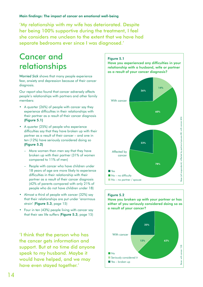'My relationship with my wife has deteriorated. Despite her being 100% supportive during the treatment, I feel she considers me unclean to the extent that we have had separate bedrooms ever since I was diagnosed.'

### Cancer and relationships

*Worried Sick* shows that many people experience fear, anxiety and depression because of their cancer diagnosis.

Our report also found that cancer adversely affects people's relationships with partners and other family members:

- A quarter (26%) of people with cancer say they experience difficulties in their relationships with their partner as a result of their cancer diagnosis (Figure 5.1)
- A quarter (25%) of people who experience difficulties say that they have broken up with their partner as a result of their cancer – and one in ten (12%) have seriously considered doing so (Figure 5.2)
	- More women than men say that they have broken up with their partner (31% of women compared to 11% of men)
	- People with cancer who have children under 18 years of age are more likely to experience difficulties in their relationship with their partner as a result of their cancer diagnosis (42% of parents compared with only 21% of people who do not have children under 18)
- Almost a third of people with cancer (32%) say that their relationships are put under 'enormous strain' (Figure 5.3, page 15)
- Four in ten (43%) people living with cancer say that their sex life suffers (Figure 5.3, page 15)

'I think that the person who has the cancer gets information and support. But at no time did anyone speak to my husband. Maybe it would have helped, and we may have even stayed together.'

#### Figure 5.1

Have you experienced any difficulties in your relationship with a husband, wife or partner as a result of your cancer diagnosis?





Have you broken up with your partner or has either of you seriously considered doing so as a result of your cancer?

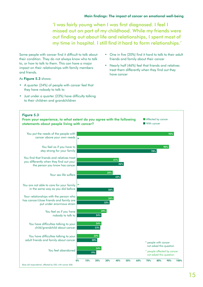'I was fairly young when I was first diagnosed. I feel I missed out on part of my childhood. While my friends were out finding out about life and relationships, I spent most of my time in hospital. I still find it hard to form relationships.'

Some people with cancer find it difficult to talk about their condition. They do not always know who to talk to, or how to talk to them. This can have a major impact on their relationships with family members and friends.

#### As Figure 5.3 shows:

- A quarter (24%) of people with cancer feel that they have nobody to talk to
- Just under a quarter (23%) have difficulty talking to their children and grandchildren
- One in five (20%) find it hard to talk to their adult friends and family about their cancer
- Nearly half (46%) feel that friends and relatives treat them differently when they find out they have cancer

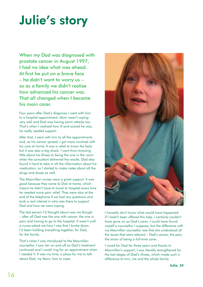# Julie's story

When my Dad was diagnosed with prostate cancer in August 1997, I had no idea what was ahead. At first he put on a brave face – he didn't want to worry us – so as a family we didn't realise how advanced his cancer was. That all changed when I became his main carer.

Four years after Dad's diagnosis I went with him to a hospital appointment. Mum wasn't coping very well and Dad was having panic attacks too. That's when I realised how ill and scared he was; he really needed support.

After that, I went with him to all the appointments and, as his cancer spread, I got more involved with his care at home. It was a relief to know the facts but it was also a big shock. I went from knowing little about his illness to being the one in the room when the consultant delivered the results. Dad also found it hard to take in all the information about his medication, so I started to make notes about all the drugs and doses as well.

The Macmillan nurses were a great support. It was good because they came to Dad at home, which meant he didn't have to travel to hospital every time he needed more pain relief. They were also at the end of the telephone if we had any questions and took a real interest in who was there to support Dad and how we were coping.

The last person I'd thought about was me though – after all Dad was the one with cancer, the one in pain and having to go to the hospital. It wasn't until a nurse asked me how I was that I broke down. I'd been holding everything together, for Dad, for the family.

That's when I was introduced to the Macmillan counsellor. I saw her on and off as Dad's treatment continued and I could ring for an appointment when I needed it. It was my time, a place for me to talk about Dad, my fears, how to cope.



model photograph

I honestly don't know what would have happened if I hadn't been offered this help. I certainly couldn't have gone on as Dad's carer. I could have found myself a counsellor I suppose, but the difference with my Macmillan counsellor was that she understood all the issues that were relevant – Dad's cancer, the pain, the strain of being a full-time carer.

I cared for Dad for three years and thanks to Macmillan's support, I was literally strengthened for the last stages of Dad's illness, which made such a difference to him, me and the whole family.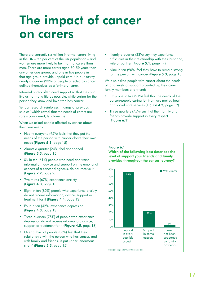# The impact of cancer on carers

There are currently six million informal carers living in the UK – ten per cent of the UK population – and women are more likely to be informal carers than men. There are more carers aged 50-59 years than any other age group, and one in five people in that age group provide unpaid care.<sup>6</sup> In our survey, nearly a quarter (23%) of people affected by cancer defined themselves as a 'primary' carer.

Informal carers often need support so that they can live as normal a life as possible, while caring for the person they know and love who has cancer.

Yet our research reinforces findings of previous studies<sup>7</sup> which reveal that the needs of carers are rarely considered, let alone met.

When we asked people affected by cancer about their own needs:

- Nearly everyone (95%) feels that they put the needs of the person with cancer above their own needs (Figure 5.3, page 15)
- Almost a quarter (24%) feel abandoned (Figure 5.3, page 15)
- Six in ten (61%) people who need and want information, advice and support on the emotional aspects of a cancer diagnosis, do not receive it (Figure 2.2, page 9)
- Two thirds (67%) experience anxiety (Figure 4.3, page 13)
- Eight in ten (85%) people who experience anxiety do not receive information, advice, support or treatment for it (Figure 4.4, page 13)
- Four in ten (42%) experience depression (Figure 4.3, page 13)
- Three quarters (75%) of people who experience depression do not receive information, advice, support or treatment for it (Figure 4.5, page 13)
- Over a third of people (36%) feel that their relationship with the person who has cancer, and with family and friends, is put under 'enormous strain' (Figure 5.3, page 15)
- Nearly a quarter (23%) say they experience difficulties in their relationship with their husband, wife or partner (Figure 5.1, page 14)
- Nine in ten (90%) feel they have to remain strong for the person with cancer (Figure 5.3, page 15)

We also asked people with cancer about the needs of, and levels of support provided by, their carer, family members and friends:

- Only one in five (21%) feel that the needs of the person/people caring for them are met by health and social care services (Figure 4.2, page 12)
- Three quarters (75%) say that their family and friends provide support in every respect (Figure 6.1)



Which of the following best describes the level of support your friends and family provides throughout the cancer journey?

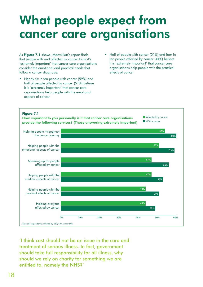# What people expect from cancer care organisations

As Figure 7.1 shows, Macmillan's report finds that people with and affected by cancer think it's 'extremely important' that cancer care organisations consider the emotional and practical needs that follow a cancer diagnosis:

- Nearly six in ten people with cancer (59%) and half of people affected by cancer (51%) believe it is 'extremely important' that cancer care organisations help people with the emotional aspects of cancer
- Half of people with cancer (51%) and four in ten people affected by cancer (44%) believe it is 'extremely important' that cancer care organisations help people with the practical effects of cancer



'I think cost should not be an issue in the care and treatment of serious illness. In fact, government should take full responsibility for all illness, why should we rely on charity for something we are entitled to, namely the NHS?'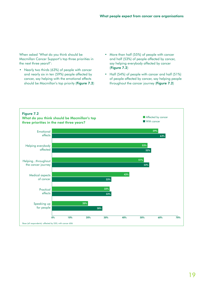When asked 'What do you think should be Macmillan Cancer Support's top three priorities in the next three years?':

- Nearly two thirds (63%) of people with cancer and nearly six in ten (59%) people affected by cancer, say helping with the emotional effects should be Macmillan's top priority (Figure 7.2)
- More than half (55%) of people with cancer and half (53%) of people affected by cancer, say helping everybody affected by cancer (Figure 7.2)
- Half (54%) of people with cancer and half (51%) of people affected by cancer, say helping people throughout the cancer journey (Figure 7.2)

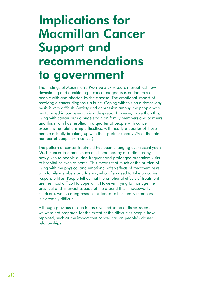# Implications for Macmillan Cancer Support and recommendations to government

The findings of Macmillan's *Worried Sick* research reveal just how devastating and debilitating a cancer diagnosis is on the lives of people with and affected by the disease. The emotional impact of receiving a cancer diagnosis is huge. Coping with this on a day-to-day basis is very difficult. Anxiety and depression among the people who participated in our research is widespread. However, more than this, living with cancer puts a huge strain on family members and partners and this strain has resulted in a quarter of people with cancer experiencing relationship difficulties, with nearly a quarter of those people actually breaking up with their partner (nearly 7% of the total number of people with cancer).

The pattern of cancer treatment has been changing over recent years. Much cancer treatment, such as chemotherapy or radiotherapy, is now given to people during frequent and prolonged outpatient visits to hospital or even at home. This means that much of the burden of living with the physical and emotional after-effects of treatment rests with family members and friends, who often need to take on caring responsibilities. People tell us that the emotional effects of treatment are the most difficult to cope with. However, trying to manage the practical and financial aspects of life around this – housework, childcare, work, caring responsibilities for other family members – is extremely difficult.

Although previous research has revealed some of these issues, we were not prepared for the extent of the difficulties people have reported, such as the impact that cancer has on people's closest relationships.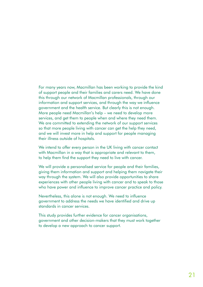For many years now, Macmillan has been working to provide the kind of support people and their families and carers need. We have done this through our network of Macmillan professionals, through our information and support services, and through the way we influence government and the health service. But clearly this is not enough. More people need Macmillan's help – we need to develop more services, and get them to people when and where they need them. We are committed to extending the network of our support services so that more people living with cancer can get the help they need, and we will invest more in help and support for people managing their illness outside of hospitals.

We intend to offer every person in the UK living with cancer contact with Macmillan in a way that is appropriate and relevant to them, to help them find the support they need to live with cancer.

We will provide a personalised service for people and their families, giving them information and support and helping them navigate their way through the system. We will also provide opportunities to share experiences with other people living with cancer and to speak to those who have power and influence to improve cancer practice and policy.

Nevertheless, this alone is not enough. We need to influence government to address the needs we have identified and drive up standards in cancer services.

This study provides further evidence for cancer organisations, government and other decision-makers that they must work together to develop a new approach to cancer support.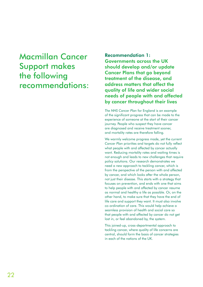### Macmillan Cancer Support makes the following recommendations:

Recommendation 1: Governments across the UK should develop and/or update Cancer Plans that go beyond treatment of the disease, and address matters that affect the quality of life and wider social needs of people with and affected by cancer throughout their lives

*The NHS Cancer Plan* for England is an example of the significant progress that can be made to the experience of someone at the start of their cancer journey. People who suspect they have cancer are diagnosed and receive treatment sooner, and mortality rates are therefore falling.

We warmly welcome progress made, yet the current *Cancer Plan* priorities and targets do not fully reflect what people with and affected by cancer actually want. Reducing mortality rates and waiting times is not enough and leads to new challenges that require policy solutions. Our research demonstrates we need a new approach to tackling cancer, which is from the perspective of the person with and affected by cancer, and which looks after the whole person, not just their disease. This starts with a strategy that focuses on prevention, and ends with one that aims to help people with and affected by cancer resume as normal and healthy a life as possible. Or, on the other hand, to make sure that they have the end of life care and support they want. It must also involve co-ordination of care. This would help achieve a seamless provision of health and social care so that people with and affected by cancer do not get lost in, or feel abandoned by, the system.

This joined-up, cross-departmental approach to tackling cancer, where quality of life concerns are central, should form the basis of cancer strategies in each of the nations of the UK.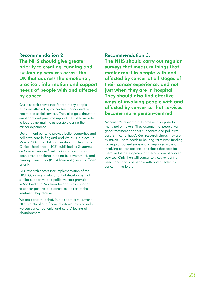### Recommendation 2:

The NHS should give greater priority to creating, funding and sustaining services across the UK that address the emotional, practical, information and support needs of people with and affected by cancer

Our research shows that far too many people with and affected by cancer feel abandoned by health and social services. They also go without the emotional and practical support they need in order to lead as normal life as possible during their cancer experience.

Government policy to provide better supportive and palliative care in England and Wales is in place. In March 2004, the National Institute for Health and Clinical Excellence (NICE) published its *Guidance on Cancer Services*. 8 Yet the *Guidance* has not been given additional funding by government, and Primary Care Trusts (PCTs) have not given it sufficient priority.

Our research shows that implementation of the NICE *Guidance* is vital and that development of similar supportive and palliative care provision in Scotland and Northern Ireland is as important to cancer patients and carers as the rest of the treatment they receive.

We are concerned that, in the short term, current NHS structural and financial reforms may actually worsen cancer patients' and carers' feeling of abandonment.

#### Recommendation 3:

The NHS should carry out regular surveys that measure things that matter most to people with and affected by cancer at all stages of their cancer experience, and not just when they are in hospital. They should also find effective ways of involving people with and affected by cancer so that services become more person-centred

Macmillan's research will come as a surprise to many policymakers. They assume that people want good treatment and that supportive and palliative care is 'nice-to-have'. Our research shows they are mistaken. There needs to be long-term NHS funding for regular patient surveys and improved ways of involving cancer patients, and those that care for them, in the development and evaluation of cancer services. Only then will cancer services reflect the needs and wants of people with and affected by cancer in the future.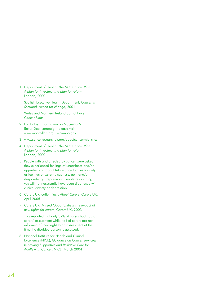1 Department of Health, *The NHS Cancer Plan: A plan for investment, a plan for reform*, London, 2000

Scottish Executive Health Department, *Cancer in Scotland: Action for change*, 2001

Wales and Northern Ireland do not have *Cancer Plans*

- 2 For further information on Macmillan's Better Deal campaign, please visit www.macmillan.org.uk/campaigns
- 3 www.cancerresearchuk.org/aboutcancer/statistics
- 4 Department of Health, *The NHS Cancer Plan: A plan for investment, a plan for reform*, London, 2000
- 5 People with and affected by cancer were asked if they experienced feelings of uneasiness and/or apprehension about future uncertainties (anxiety) or feelings of extreme sadness, guilt and/or despondency (depression). People responding yes will not necessarily have been diagnosed with clinical anxiety or depression.
- 6 Carers UK leaflet, *Facts About Carers*, Carers UK, April 2005
- 7 Carers UK, *Missed Opportunities: The impact of new rights for carers*, Carers UK, 2003

This reported that only 32% of carers had had a carers' assessment while half of carers are not informed of their right to an assessment at the time the disabled person is assessed.

8 National Institute for Health and Clinical Excellence (NICE), *Guidance on Cancer Services: Improving Supportive and Palliative Care for Adults with Cancer*, NICE, March 2004